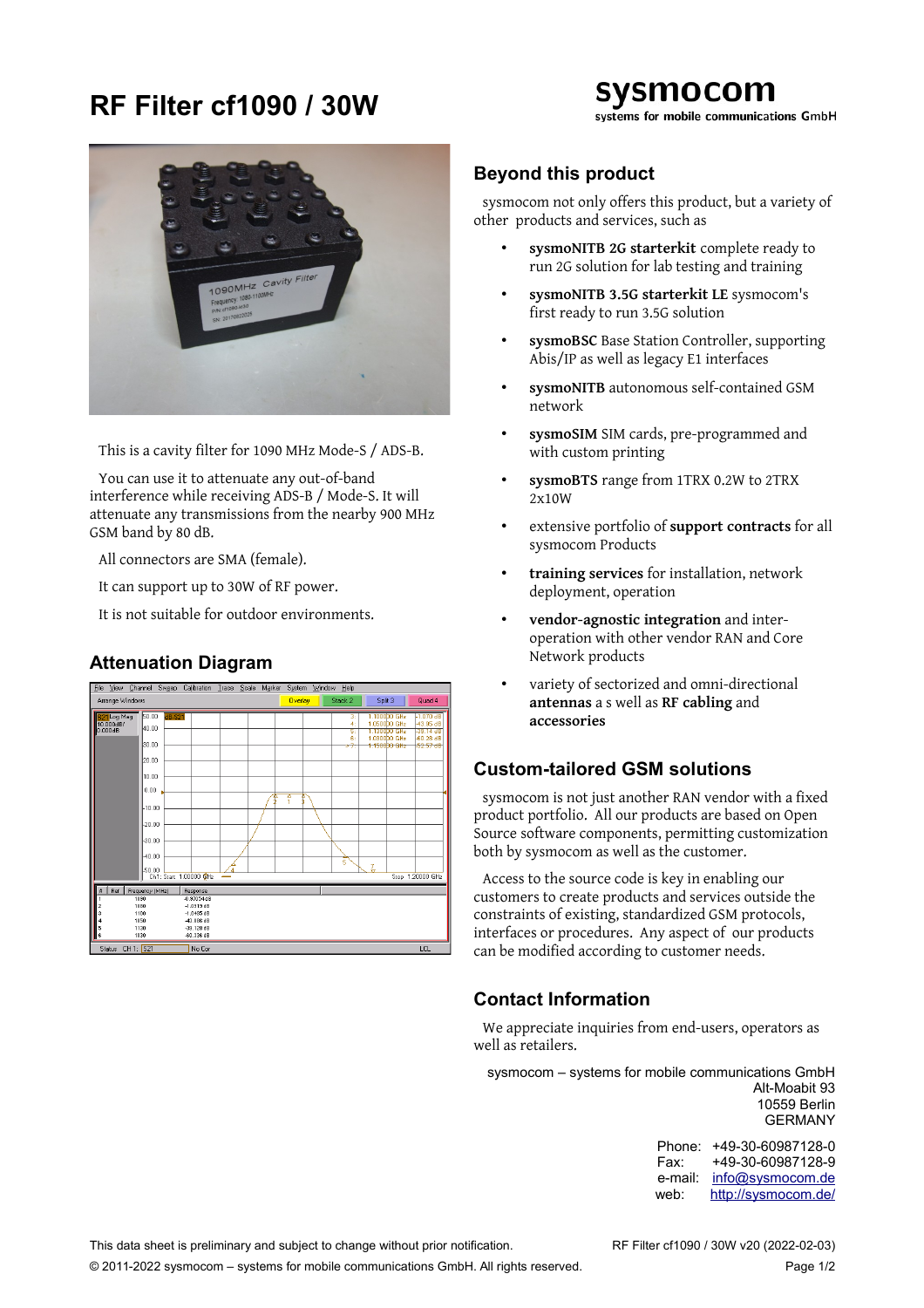## **RF Filter cf1090 / 30W**

## sysmocom systems for mobile communications GmbH



This is a cavity filter for 1090 MHz Mode-S / ADS-B.

You can use it to attenuate any out-of-band interference while receiving ADS-B / Mode-S. It will attenuate any transmissions from the nearby 900 MHz GSM band by 80 dB.

All connectors are SMA (female).

It can support up to 30W of RF power.

It is not suitable for outdoor environments.

### **Attenuation Diagram**



#### **Beyond this product**

sysmocom not only offers this product, but a variety of other products and services, such as

- **sysmoNITB 2G starterkit** complete ready to run 2G solution for lab testing and training
- **sysmoNITB 3.5G starterkit LE** sysmocom's first ready to run 3.5G solution
- **sysmoBSC** Base Station Controller, supporting Abis/IP as well as legacy E1 interfaces
- **sysmoNITB** autonomous self-contained GSM network
- **sysmoSIM** SIM cards, pre-programmed and with custom printing
- **sysmoBTS** range from 1TRX 0.2W to 2TRX 2x10W
- extensive portfolio of **support contracts** for all sysmocom Products
- **training services** for installation, network deployment, operation
- **vendor-agnostic integration** and interoperation with other vendor RAN and Core Network products
- variety of sectorized and omni-directional **antennas** a s well as **RF cabling** and **accessories**

#### **Custom-tailored GSM solutions**

sysmocom is not just another RAN vendor with a fixed product portfolio. All our products are based on Open Source software components, permitting customization both by sysmocom as well as the customer.

Access to the source code is key in enabling our customers to create products and services outside the constraints of existing, standardized GSM protocols, interfaces or procedures. Any aspect of our products can be modified according to customer needs.

#### **Contact Information**

We appreciate inquiries from end-users, operators as well as retailers.

sysmocom – systems for mobile communications GmbH Alt-Moabit 93 10559 Berlin GERMANY

> Phone: +49-30-60987128-0 Fax: +49-30-60987128-9 e-mail: [info@sysmocom.de](mailto:info@sysmocom.de) web: <http://sysmocom.de/>

This data sheet is preliminary and subject to change without prior notification. RF Filter cf1090 / 30W v20 (2022-02-03)